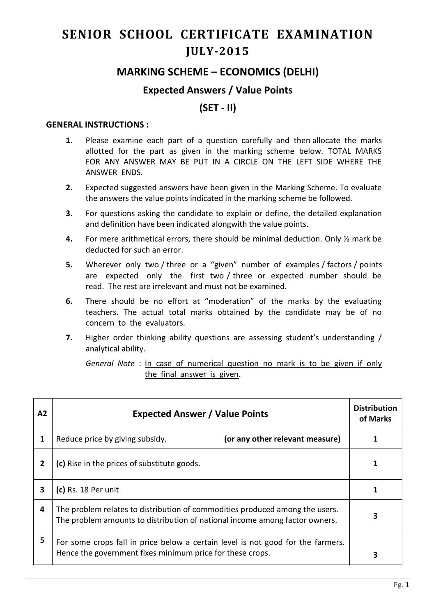# **SENIOR SCHOOL CERTIFICATE EXAMINATION JULY-2015**

## **MARKING SCHEME – ECONOMICS (DELHI)**

#### **Expected Answers / Value Points**

### **(SET - II)**

#### **GENERAL INSTRUCTIONS :**

- **1.** Please examine each part of a question carefully and then allocate the marks allotted for the part as given in the marking scheme below. TOTAL MARKS FOR ANY ANSWER MAY BE PUT IN A CIRCLE ON THE LEFT SIDE WHERE THE ANSWER ENDS.
- **2.** Expected suggested answers have been given in the Marking Scheme. To evaluate the answers the value points indicated in the marking scheme be followed.
- **3.** For questions asking the candidate to explain or define, the detailed explanation and definition have been indicated alongwith the value points.
- **4.** For mere arithmetical errors, there should be minimal deduction. Only ½ mark be deducted for such an error.
- **5.** Wherever only two / three or a "given" number of examples / factors / points are expected only the first two / three or expected number should be read. The rest are irrelevant and must not be examined.
- **6.** There should be no effort at "moderation" of the marks by the evaluating teachers. The actual total marks obtained by the candidate may be of no concern to the evaluators.
- **7.** Higher order thinking ability questions are assessing student's understanding / analytical ability.

*General Note* : In case of numerical question no mark is to be given if only the final answer is given.

| A2 | <b>Expected Answer / Value Points</b>                                                                                                                       | <b>Distribution</b><br>of Marks |
|----|-------------------------------------------------------------------------------------------------------------------------------------------------------------|---------------------------------|
| 1  | (or any other relevant measure)<br>Reduce price by giving subsidy.                                                                                          |                                 |
| 2  | (c) Rise in the prices of substitute goods.                                                                                                                 |                                 |
| 3  | (c) Rs. 18 Per unit                                                                                                                                         |                                 |
| 4  | The problem relates to distribution of commodities produced among the users.<br>The problem amounts to distribution of national income among factor owners. | 3                               |
| 5  | For some crops fall in price below a certain level is not good for the farmers.<br>Hence the government fixes minimum price for these crops.                | З                               |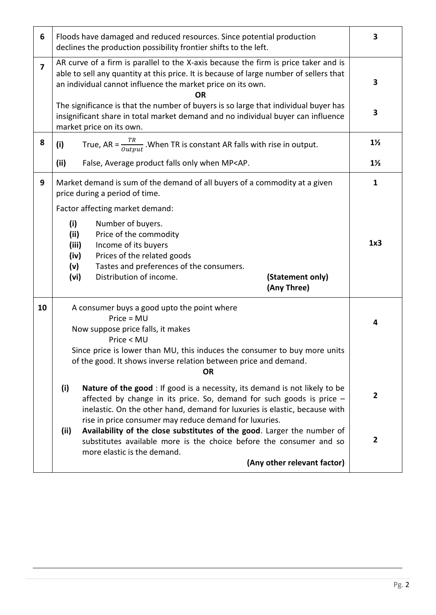| 6              |                                             | Floods have damaged and reduced resources. Since potential production<br>declines the production possibility frontier shifts to the left.                                                                                                                                                                                                 | 3              |
|----------------|---------------------------------------------|-------------------------------------------------------------------------------------------------------------------------------------------------------------------------------------------------------------------------------------------------------------------------------------------------------------------------------------------|----------------|
| $\overline{7}$ |                                             | AR curve of a firm is parallel to the X-axis because the firm is price taker and is<br>able to sell any quantity at this price. It is because of large number of sellers that<br>an individual cannot influence the market price on its own.<br>0R<br>The significance is that the number of buyers is so large that individual buyer has | 3              |
|                |                                             | insignificant share in total market demand and no individual buyer can influence<br>market price on its own.                                                                                                                                                                                                                              | 3              |
| 8              | (i)                                         | True, AR = $\frac{TR}{Output}$ . When TR is constant AR falls with rise in output.                                                                                                                                                                                                                                                        | $1\frac{1}{2}$ |
|                | (ii)                                        | False, Average product falls only when MP <ap.< th=""><th><math>1\frac{1}{2}</math></th></ap.<>                                                                                                                                                                                                                                           | $1\frac{1}{2}$ |
| 9              |                                             | Market demand is sum of the demand of all buyers of a commodity at a given<br>price during a period of time.                                                                                                                                                                                                                              | $\mathbf{1}$   |
|                |                                             | Factor affecting market demand:                                                                                                                                                                                                                                                                                                           |                |
|                | (i)<br>(ii)<br>(iii)<br>(iv)<br>(v)<br>(vi) | Number of buyers.<br>Price of the commodity<br>Income of its buyers<br>Prices of the related goods<br>Tastes and preferences of the consumers.<br>Distribution of income.<br>(Statement only)                                                                                                                                             | 1x3            |
|                |                                             | (Any Three)                                                                                                                                                                                                                                                                                                                               |                |
| 10             |                                             | A consumer buys a good upto the point where<br>$Price = MU$<br>Now suppose price falls, it makes<br>Price < MU<br>Since price is lower than MU, this induces the consumer to buy more units<br>of the good. It shows inverse relation between price and demand.<br><b>OR</b>                                                              | 4              |
|                | (i)<br>(ii)                                 | <b>Nature of the good:</b> If good is a necessity, its demand is not likely to be<br>affected by change in its price. So, demand for such goods is price $-$<br>inelastic. On the other hand, demand for luxuries is elastic, because with<br>rise in price consumer may reduce demand for luxuries.                                      | $\mathbf{2}$   |
|                |                                             |                                                                                                                                                                                                                                                                                                                                           |                |
|                |                                             | Availability of the close substitutes of the good. Larger the number of<br>substitutes available more is the choice before the consumer and so<br>more elastic is the demand.<br>(Any other relevant factor)                                                                                                                              | $\overline{2}$ |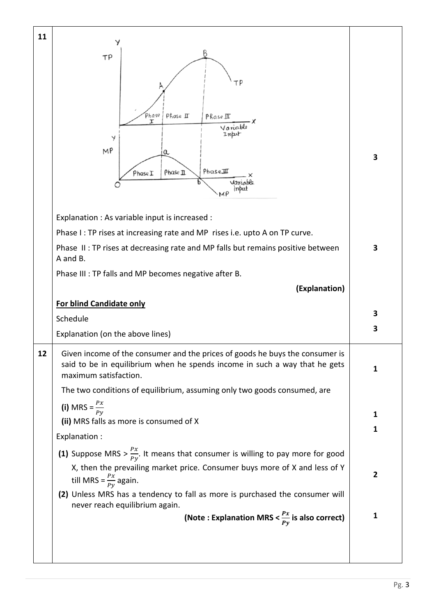| 11 |                                                                                                                              |              |
|----|------------------------------------------------------------------------------------------------------------------------------|--------------|
|    | В<br>TP                                                                                                                      |              |
|    |                                                                                                                              |              |
|    | ΤP                                                                                                                           |              |
|    |                                                                                                                              |              |
|    | Phase<br>Phase IT<br>Phase III<br>Variable                                                                                   |              |
|    | Input<br>Y                                                                                                                   |              |
|    | MP<br>a                                                                                                                      | 3            |
|    | PhaseIII<br>Phase II<br>PhaseI                                                                                               |              |
|    | Variable<br>input                                                                                                            |              |
|    |                                                                                                                              |              |
|    | Explanation : As variable input is increased :<br>Phase I: TP rises at increasing rate and MP rises i.e. upto A on TP curve. |              |
|    | Phase II: TP rises at decreasing rate and MP falls but remains positive between                                              | 3            |
|    | A and B.                                                                                                                     |              |
|    | Phase III : TP falls and MP becomes negative after B.                                                                        |              |
|    | (Explanation)                                                                                                                |              |
|    |                                                                                                                              |              |
|    | For blind Candidate only                                                                                                     |              |
|    | Schedule                                                                                                                     | 3            |
|    | Explanation (on the above lines)                                                                                             | 3            |
| 12 | Given income of the consumer and the prices of goods he buys the consumer is                                                 |              |
|    | said to be in equilibrium when he spends income in such a way that he gets<br>maximum satisfaction.                          | 1            |
|    | The two conditions of equilibrium, assuming only two goods consumed, are                                                     |              |
|    | (i) MRS = $\frac{Px}{Py}$                                                                                                    |              |
|    | (ii) MRS falls as more is consumed of X                                                                                      | 1            |
|    | Explanation :                                                                                                                | 1            |
|    | (1) Suppose MRS > $\frac{Px}{Py}$ . It means that consumer is willing to pay more for good                                   |              |
|    | X, then the prevailing market price. Consumer buys more of X and less of Y<br>till MRS = $\frac{Px}{Py}$ again.              | $\mathbf{2}$ |
|    | (2) Unless MRS has a tendency to fall as more is purchased the consumer will<br>never reach equilibrium again.               |              |
|    | (Note : Explanation MRS $<\frac{Px}{Py}$ is also correct)                                                                    | 1            |
|    |                                                                                                                              |              |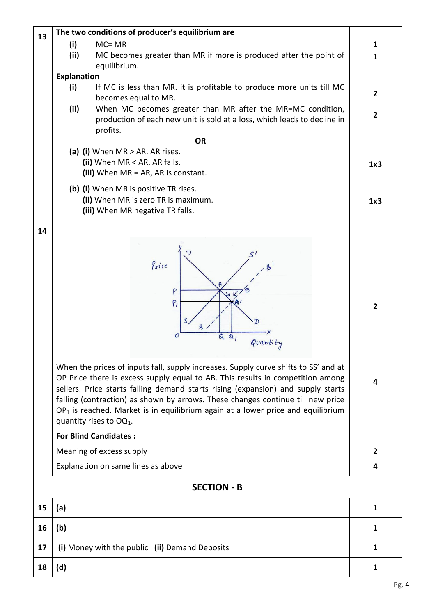| 13 | The two conditions of producer's equilibrium are                                                                                                                     |                 |
|----|----------------------------------------------------------------------------------------------------------------------------------------------------------------------|-----------------|
|    | (i)<br>$MC = MR$                                                                                                                                                     | 1               |
|    | (ii)<br>MC becomes greater than MR if more is produced after the point of                                                                                            | $\mathbf{1}$    |
|    | equilibrium.<br><b>Explanation</b>                                                                                                                                   |                 |
|    | (i)<br>If MC is less than MR. it is profitable to produce more units till MC<br>becomes equal to MR.                                                                 | $\overline{2}$  |
|    | (ii)<br>When MC becomes greater than MR after the MR=MC condition,                                                                                                   |                 |
|    | production of each new unit is sold at a loss, which leads to decline in<br>profits.                                                                                 | $\overline{2}$  |
|    | <b>OR</b>                                                                                                                                                            |                 |
|    | (a) (i) When $MR > AR$ . AR rises.                                                                                                                                   |                 |
|    | (ii) When MR < AR, AR falls.                                                                                                                                         | 1x <sub>3</sub> |
|    | (iii) When MR = AR, AR is constant.                                                                                                                                  |                 |
|    | (b) (i) When MR is positive TR rises.                                                                                                                                |                 |
|    | (ii) When MR is zero TR is maximum.<br>(iii) When MR negative TR falls.                                                                                              | 1x3             |
|    |                                                                                                                                                                      |                 |
| 14 |                                                                                                                                                                      |                 |
|    |                                                                                                                                                                      |                 |
|    | Price                                                                                                                                                                |                 |
|    |                                                                                                                                                                      |                 |
|    |                                                                                                                                                                      |                 |
|    | P<br>$P_1$                                                                                                                                                           |                 |
|    |                                                                                                                                                                      | $\mathbf{2}$    |
|    | S.                                                                                                                                                                   |                 |
|    | $\mathcal{O}$<br>$QQ_1$<br>Quantity                                                                                                                                  |                 |
|    |                                                                                                                                                                      |                 |
|    | When the prices of inputs fall, supply increases. Supply curve shifts to SS' and at                                                                                  |                 |
|    | OP Price there is excess supply equal to AB. This results in competition among                                                                                       | 4               |
|    | sellers. Price starts falling demand starts rising (expansion) and supply starts                                                                                     |                 |
|    | falling (contraction) as shown by arrows. These changes continue till new price<br>$OP1$ is reached. Market is in equilibrium again at a lower price and equilibrium |                 |
|    | quantity rises to $OQ_1$ .                                                                                                                                           |                 |
|    | <b>For Blind Candidates:</b>                                                                                                                                         |                 |
|    | Meaning of excess supply                                                                                                                                             | $\overline{2}$  |
|    | Explanation on same lines as above                                                                                                                                   | 4               |
|    | <b>SECTION - B</b>                                                                                                                                                   |                 |
| 15 | (a)                                                                                                                                                                  | $\mathbf{1}$    |
| 16 | (b)                                                                                                                                                                  | $\mathbf{1}$    |
| 17 | (i) Money with the public (ii) Demand Deposits                                                                                                                       | $\mathbf{1}$    |
| 18 | (d)                                                                                                                                                                  | $\mathbf{1}$    |
|    |                                                                                                                                                                      |                 |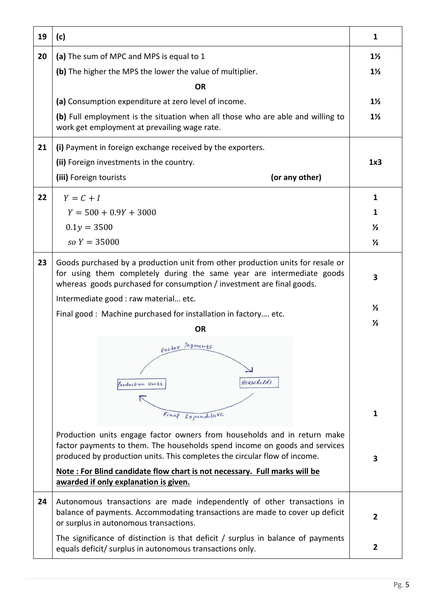| 19 | (c)                                                                                                                                                                                                                                                                                                                                                       | 1              |
|----|-----------------------------------------------------------------------------------------------------------------------------------------------------------------------------------------------------------------------------------------------------------------------------------------------------------------------------------------------------------|----------------|
| 20 | (a) The sum of MPC and MPS is equal to 1                                                                                                                                                                                                                                                                                                                  | $1\frac{1}{2}$ |
|    | (b) The higher the MPS the lower the value of multiplier.                                                                                                                                                                                                                                                                                                 | $1\frac{1}{2}$ |
|    | <b>OR</b>                                                                                                                                                                                                                                                                                                                                                 |                |
|    | (a) Consumption expenditure at zero level of income.                                                                                                                                                                                                                                                                                                      | $1\frac{1}{2}$ |
|    | (b) Full employment is the situation when all those who are able and willing to<br>work get employment at prevailing wage rate.                                                                                                                                                                                                                           | $1\frac{1}{2}$ |
| 21 | (i) Payment in foreign exchange received by the exporters.                                                                                                                                                                                                                                                                                                |                |
|    | (ii) Foreign investments in the country.                                                                                                                                                                                                                                                                                                                  | 1x3            |
|    | (iii) Foreign tourists<br>(or any other)                                                                                                                                                                                                                                                                                                                  |                |
| 22 | $Y = C + I$                                                                                                                                                                                                                                                                                                                                               | $\mathbf{1}$   |
|    | $Y = 500 + 0.9Y + 3000$                                                                                                                                                                                                                                                                                                                                   | 1              |
|    | $0.1y = 3500$                                                                                                                                                                                                                                                                                                                                             | $\frac{1}{2}$  |
|    | $so Y = 35000$                                                                                                                                                                                                                                                                                                                                            | $\frac{1}{2}$  |
| 23 | Goods purchased by a production unit from other production units for resale or<br>for using them completely during the same year are intermediate goods<br>whereas goods purchased for consumption / investment are final goods.                                                                                                                          | 3              |
|    | Intermediate good : raw material etc.                                                                                                                                                                                                                                                                                                                     | $\frac{1}{2}$  |
|    | Final good: Machine purchased for installation in factory etc.                                                                                                                                                                                                                                                                                            | $\frac{1}{2}$  |
|    | <b>OR</b><br>factor Payments<br>Houscholds<br>Production Units<br>Final Expenditure                                                                                                                                                                                                                                                                       | $\mathbf{1}$   |
|    | Production units engage factor owners from households and in return make<br>factor payments to them. The households spend income on goods and services<br>produced by production units. This completes the circular flow of income.<br>Note: For Blind candidate flow chart is not necessary. Full marks will be<br>awarded if only explanation is given. | 3              |
| 24 | Autonomous transactions are made independently of other transactions in<br>balance of payments. Accommodating transactions are made to cover up deficit<br>or surplus in autonomous transactions.                                                                                                                                                         | $\overline{2}$ |
|    | The significance of distinction is that deficit / surplus in balance of payments<br>equals deficit/ surplus in autonomous transactions only.                                                                                                                                                                                                              | $\mathbf{2}$   |